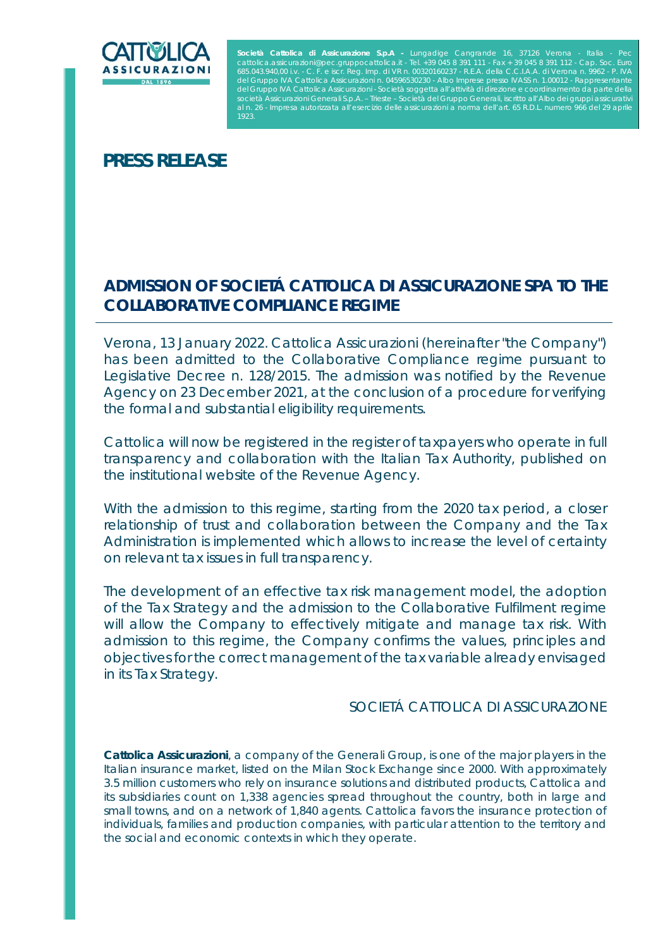

Società Cattolica di Assicurazione S.p.A - Lungadige Cangrande 16, 37126 Verona - Italia - Pec<br>cattolica.assicurazioni@pec.gruppocattolica.it - Tel. +39 045 8 391 111 - Fax + 39 045 8 391 112 - Cap. Soc. Euro<br>685.043.940,0 del Gruppo IVA Cattolica Assicurazioni n. 04596530230 - Albo Imprese presso IVASS n. 1.00012 - Rappresentante<br>del Gruppo IVA Cattolica Assicurazioni - Società soggetta all'attività di direzione e coordinamento da parte del età Assicurazioni Generali S.p.A. – Trieste – Società del Gruppo Generali, iscritto all'Albo dei gruppi ass Impresa autorizzata all'esercizio delle assicurazioni a norma dell'art. 65 R.D.L. numero 966 del 29 apri

# **PRESS RELEASE**

## **ADMISSION OF SOCIETÁ CATTOLICA DI ASSICURAZIONE SPA TO THE COLLABORATIVE COMPLIANCE REGIME**

*Verona, 13 January 2022*. Cattolica Assicurazioni (hereinafter "the Company") has been admitted to the Collaborative Compliance regime pursuant to Legislative Decree n. 128/2015. The admission was notified by the Revenue Agency on 23 December 2021, at the conclusion of a procedure for verifying the formal and substantial eligibility requirements.

Cattolica will now be registered in the register of taxpayers who operate in full transparency and collaboration with the Italian Tax Authority, published on the institutional website of the Revenue Agency.

With the admission to this regime, starting from the 2020 tax period, a closer relationship of trust and collaboration between the Company and the Tax Administration is implemented which allows to increase the level of certainty on relevant tax issues in full transparency.

The development of an effective tax risk management model, the adoption of the Tax Strategy and the admission to the Collaborative Fulfilment regime will allow the Company to effectively mitigate and manage tax risk. With admission to this regime, the Company confirms the values, principles and objectives for the correct management of the tax variable already envisaged in its Tax Strategy.

### SOCIETÁ CATTOLICA DI ASSICURAZIONE

*Cattolica Assicurazioni, a company of the Generali Group, is one of the major players in the Italian insurance market, listed on the Milan Stock Exchange since 2000. With approximately 3.5 million customers who rely on insurance solutions and distributed products, Cattolica and its subsidiaries count on 1,338 agencies spread throughout the country, both in large and*  small towns, and on a network of 1,840 agents. Cattolica favors the insurance protection of *individuals, families and production companies, with particular attention to the territory and the social and economic contexts in which they operate.*